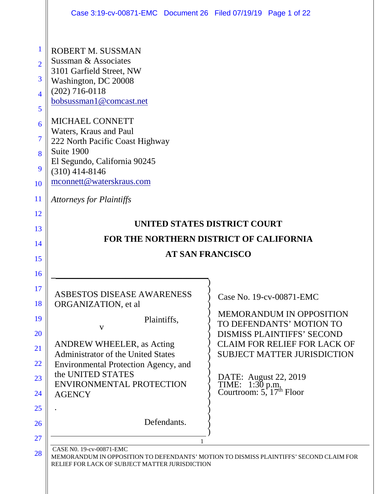|                                              | Case 3:19-cv-00871-EMC Document 26 Filed 07/19/19 Page 1 of 22                                                                                                             |                                                                                                                                         |
|----------------------------------------------|----------------------------------------------------------------------------------------------------------------------------------------------------------------------------|-----------------------------------------------------------------------------------------------------------------------------------------|
| $\mathbf 1$<br>$\overline{2}$<br>3<br>4<br>5 | <b>ROBERT M. SUSSMAN</b><br>Sussman & Associates<br>3101 Garfield Street, NW<br>Washington, DC 20008<br>$(202)$ 716-0118<br>bobsussman1@comcast.net                        |                                                                                                                                         |
| 6<br>$\overline{7}$<br>8<br>9<br>10          | MICHAEL CONNETT<br>Waters, Kraus and Paul<br>222 North Pacific Coast Highway<br>Suite 1900<br>El Segundo, California 90245<br>$(310)$ 414-8146<br>mconnett@waterskraus.com |                                                                                                                                         |
| 11                                           | <b>Attorneys for Plaintiffs</b>                                                                                                                                            |                                                                                                                                         |
| 12<br>13<br>14<br>15<br>16                   | UNITED STATES DISTRICT COURT<br>FOR THE NORTHERN DISTRICT OF CALIFORNIA<br><b>AT SAN FRANCISCO</b>                                                                         |                                                                                                                                         |
|                                              |                                                                                                                                                                            |                                                                                                                                         |
| 17<br>18                                     | ASBESTOS DISEASE AWARENESS<br>ORGANIZATION, et al                                                                                                                          | Case No. 19-cv-00871-EMC                                                                                                                |
| 19<br>20                                     | Plaintiffs,<br>V<br><b>ANDREW WHEELER, as Acting</b>                                                                                                                       | <b>MEMORANDUM IN OPPOSITION</b><br>TO DEFENDANTS' MOTION TO<br><b>DISMISS PLAINTIFFS' SECOND</b><br><b>CLAIM FOR RELIEF FOR LACK OF</b> |
| 21<br>22                                     | <b>Administrator of the United States</b><br>Environmental Protection Agency, and                                                                                          | <b>SUBJECT MATTER JURISDICTION</b>                                                                                                      |
| 23                                           | the UNITED STATES<br><b>ENVIRONMENTAL PROTECTION</b>                                                                                                                       | DATE: August 22, 2019                                                                                                                   |
| 24                                           | <b>AGENCY</b>                                                                                                                                                              | TIME: $1:30$ p.m.<br>Courtroom: 5, $17th$ Floor                                                                                         |
| 25<br>26<br>27                               | Defendants.                                                                                                                                                                |                                                                                                                                         |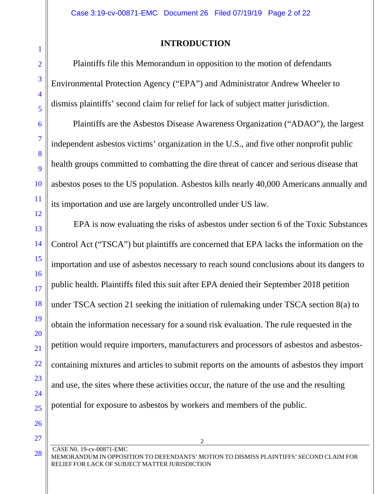#### **INTRODUCTION**

 Plaintiffs file this Memorandum in opposition to the motion of defendants Environmental Protection Agency ("EPA") and Administrator Andrew Wheeler to dismiss plaintiffs' second claim for relief for lack of subject matter jurisdiction.

 Plaintiffs are the Asbestos Disease Awareness Organization ("ADAO"), the largest independent asbestos victims' organization in the U.S., and five other nonprofit public health groups committed to combatting the dire threat of cancer and serious disease that asbestos poses to the US population. Asbestos kills nearly 40,000 Americans annually and its importation and use are largely uncontrolled under US law.

EPA is now evaluating the risks of asbestos under section 6 of the Toxic Substances Control Act ("TSCA") but plaintiffs are concerned that EPA lacks the information on the importation and use of asbestos necessary to reach sound conclusions about its dangers to public health. Plaintiffs filed this suit after EPA denied their September 2018 petition under TSCA section 21 seeking the initiation of rulemaking under TSCA section 8(a) to obtain the information necessary for a sound risk evaluation. The rule requested in the petition would require importers, manufacturers and processors of asbestos and asbestoscontaining mixtures and articles to submit reports on the amounts of asbestos they import and use, the sites where these activities occur, the nature of the use and the resulting potential for exposure to asbestos by workers and members of the public.

2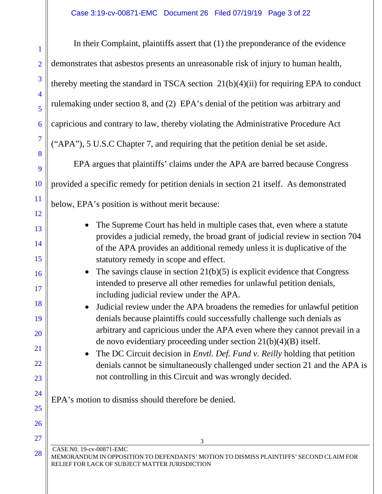In their Complaint, plaintiffs assert that (1) the preponderance of the evidence demonstrates that asbestos presents an unreasonable risk of injury to human health, thereby meeting the standard in TSCA section  $21(b)(4)(ii)$  for requiring EPA to conduct rulemaking under section 8, and (2) EPA's denial of the petition was arbitrary and capricious and contrary to law, thereby violating the Administrative Procedure Act ("APA"), 5 U.S.C Chapter 7, and requiring that the petition denial be set aside.

EPA argues that plaintiffs' claims under the APA are barred because Congress provided a specific remedy for petition denials in section 21 itself. As demonstrated below, EPA's position is without merit because:

- The Supreme Court has held in multiple cases that, even where a statute provides a judicial remedy, the broad grant of judicial review in section 704 of the APA provides an additional remedy unless it is duplicative of the statutory remedy in scope and effect.
- The savings clause in section  $21(b)(5)$  is explicit evidence that Congress intended to preserve all other remedies for unlawful petition denials, including judicial review under the APA.
- Judicial review under the APA broadens the remedies for unlawful petition denials because plaintiffs could successfully challenge such denials as arbitrary and capricious under the APA even where they cannot prevail in a de novo evidentiary proceeding under section 21(b)(4)(B) itself.

• The DC Circuit decision in *Envtl. Def. Fund v. Reilly* holding that petition denials cannot be simultaneously challenged under section 21 and the APA is not controlling in this Circuit and was wrongly decided.

EPA's motion to dismiss should therefore be denied.

CASE N0. 19-cv-00871-EMC

MEMORANDUM IN OPPOSITION TO DEFENDANTS' MOTION TO DISMISS PLAINTIFFS' SECOND CLAIM FOR RELIEF FOR LACK OF SUBJECT MATTER JURISDICTION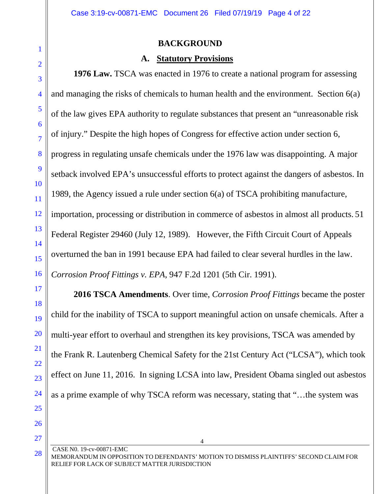#### **BACKGROUND**

#### **A. Statutory Provisions**

**1976 Law.** TSCA was enacted in 1976 to create a national program for assessing and managing the risks of chemicals to human health and the environment. Section 6(a) of the law gives EPA authority to regulate substances that present an "unreasonable risk of injury." Despite the high hopes of Congress for effective action under section 6, progress in regulating unsafe chemicals under the 1976 law was disappointing. A major setback involved EPA's unsuccessful efforts to protect against the dangers of asbestos. In 1989, the Agency issued a rule under section 6(a) of TSCA prohibiting manufacture, importation, processing or distribution in commerce of asbestos in almost all products. 51 Federal Register 29460 (July 12, 1989). However, the Fifth Circuit Court of Appeals overturned the ban in 1991 because EPA had failed to clear several hurdles in the law. *Corrosion Proof Fittings v. EPA*, 947 F.2d 1201 (5th Cir. 1991).

**2016 TSCA Amendments**. Over time, *Corrosion Proof Fittings* became the poster child for the inability of TSCA to support meaningful action on unsafe chemicals. After a multi-year effort to overhaul and strengthen its key provisions, TSCA was amended by the Frank R. Lautenberg Chemical Safety for the 21st Century Act ("LCSA"), which took effect on June 11, 2016. In signing LCSA into law, President Obama singled out asbestos as a prime example of why TSCA reform was necessary, stating that "…the system was

CASE N0. 19-cv-00871-EMC MEMORANDUM IN OPPOSITION TO DEFENDANTS' MOTION TO DISMISS PLAINTIFFS' SECOND CLAIM FOR RELIEF FOR LACK OF SUBJECT MATTER JURISDICTION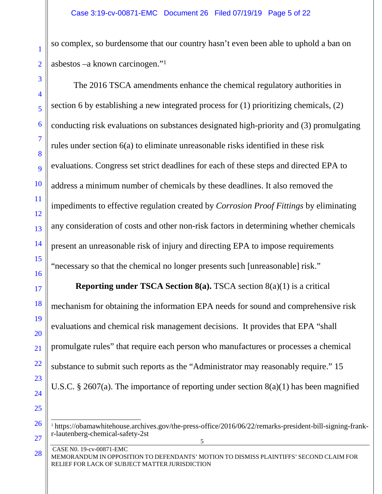so complex, so burdensome that our country hasn't even been able to uphold a ban on asbestos –a known carcinogen."<sup>1</sup>

The 2016 TSCA amendments enhance the chemical regulatory authorities in section 6 by establishing a new integrated process for (1) prioritizing chemicals, (2) conducting risk evaluations on substances designated high-priority and (3) promulgating rules under section 6(a) to eliminate unreasonable risks identified in these risk evaluations. Congress set strict deadlines for each of these steps and directed EPA to address a minimum number of chemicals by these deadlines. It also removed the impediments to effective regulation created by *Corrosion Proof Fittings* by eliminating any consideration of costs and other non-risk factors in determining whether chemicals present an unreasonable risk of injury and directing EPA to impose requirements "necessary so that the chemical no longer presents such [unreasonable] risk."

**Reporting under TSCA Section 8(a).** TSCA section 8(a)(1) is a critical mechanism for obtaining the information EPA needs for sound and comprehensive risk evaluations and chemical risk management decisions. It provides that EPA "shall promulgate rules" that require each person who manufactures or processes a chemical substance to submit such reports as the "Administrator may reasonably require." 15 U.S.C. § 2607(a). The importance of reporting under section 8(a)(1) has been magnified

<sup>-</sup><sup>1</sup> https://obamawhitehouse.archives.gov/the-press-office/2016/06/22/remarks-president-bill-signing-frankr-lautenberg-chemical-safety-2st

CASE N0. 19-cv-00871-EMC MEMORANDUM IN OPPOSITION TO DEFENDANTS' MOTION TO DISMISS PLAINTIFFS' SECOND CLAIM FOR RELIEF FOR LACK OF SUBJECT MATTER JURISDICTION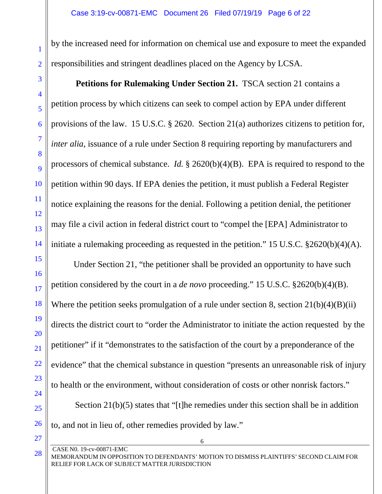by the increased need for information on chemical use and exposure to meet the expanded responsibilities and stringent deadlines placed on the Agency by LCSA.

**Petitions for Rulemaking Under Section 21.** TSCA section 21 contains a petition process by which citizens can seek to compel action by EPA under different provisions of the law. 15 U.S.C. § 2620. Section 21(a) authorizes citizens to petition for*, inter alia*, issuance of a rule under Section 8 requiring reporting by manufacturers and processors of chemical substance. *Id.* § 2620(b)(4)(B). EPA is required to respond to the petition within 90 days. If EPA denies the petition, it must publish a Federal Register notice explaining the reasons for the denial. Following a petition denial, the petitioner may file a civil action in federal district court to "compel the [EPA] Administrator to initiate a rulemaking proceeding as requested in the petition." 15 U.S.C. §2620(b)(4)(A).

Under Section 21, "the petitioner shall be provided an opportunity to have such petition considered by the court in a *de novo* proceeding." 15 U.S.C. §2620(b)(4)(B). Where the petition seeks promulgation of a rule under section 8, section  $21(b)(4)(B)(ii)$ directs the district court to "order the Administrator to initiate the action requested by the petitioner" if it "demonstrates to the satisfaction of the court by a preponderance of the evidence" that the chemical substance in question "presents an unreasonable risk of injury to health or the environment, without consideration of costs or other nonrisk factors."

 Section 21(b)(5) states that "[t]he remedies under this section shall be in addition to, and not in lieu of, other remedies provided by law."

CASE N0. 19-cv-00871-EMC

6

MEMORANDUM IN OPPOSITION TO DEFENDANTS' MOTION TO DISMISS PLAINTIFFS' SECOND CLAIM FOR RELIEF FOR LACK OF SUBJECT MATTER JURISDICTION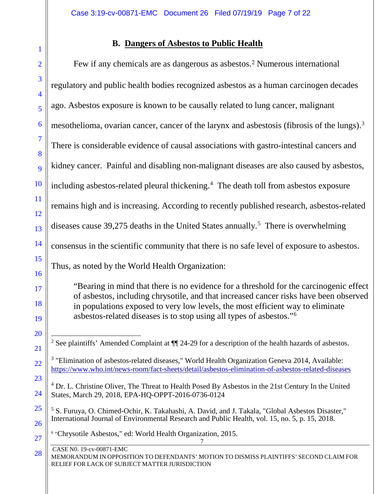# **B. Dangers of Asbestos to Public Health**

| $\overline{2}$                | Few if any chemicals are as dangerous as asbestos. <sup>2</sup> Numerous international                                                                                                                                                                                                                                                               |
|-------------------------------|------------------------------------------------------------------------------------------------------------------------------------------------------------------------------------------------------------------------------------------------------------------------------------------------------------------------------------------------------|
| 3<br>$\overline{\mathcal{A}}$ | regulatory and public health bodies recognized asbestos as a human carcinogen decades                                                                                                                                                                                                                                                                |
| 5                             | ago. Asbestos exposure is known to be causally related to lung cancer, malignant                                                                                                                                                                                                                                                                     |
| 6                             | mesothelioma, ovarian cancer, cancer of the larynx and asbestosis (fibrosis of the lungs). <sup>3</sup>                                                                                                                                                                                                                                              |
| $\overline{7}$<br>8           | There is considerable evidence of causal associations with gastro-intestinal cancers and                                                                                                                                                                                                                                                             |
| 9                             | kidney cancer. Painful and disabling non-malignant diseases are also caused by asbestos,                                                                                                                                                                                                                                                             |
| 10                            | including asbestos-related pleural thickening. <sup>4</sup> The death toll from asbestos exposure                                                                                                                                                                                                                                                    |
| <sup>11</sup><br>12           | remains high and is increasing. According to recently published research, asbestos-related                                                                                                                                                                                                                                                           |
| 13                            | diseases cause 39,275 deaths in the United States annually. <sup>5</sup> There is overwhelming                                                                                                                                                                                                                                                       |
| 14                            | consensus in the scientific community that there is no safe level of exposure to asbestos.                                                                                                                                                                                                                                                           |
| 15<br>16                      | Thus, as noted by the World Health Organization:                                                                                                                                                                                                                                                                                                     |
| 17<br>18<br>19                | "Bearing in mind that there is no evidence for a threshold for the carcinogenic effect<br>of asbestos, including chrysotile, and that increased cancer risks have been observed<br>in populations exposed to very low levels, the most efficient way to eliminate<br>asbestos-related diseases is to stop using all types of asbestos." <sup>6</sup> |
| 20<br>21                      | <sup>2</sup> See plaintiffs' Amended Complaint at $\P$ 24-29 for a description of the health hazards of asbestos.                                                                                                                                                                                                                                    |
| 22                            | <sup>3</sup> "Elimination of asbestos-related diseases," World Health Organization Geneva 2014, Available:<br>https://www.who.int/news-room/fact-sheets/detail/asbestos-elimination-of-asbestos-related-diseases                                                                                                                                     |
| 23<br>24                      | <sup>4</sup> Dr. L. Christine Oliver, The Threat to Health Posed By Asbestos in the 21st Century In the United<br>States, March 29, 2018, EPA-HQ-OPPT-2016-0736-0124                                                                                                                                                                                 |
| 25<br>26                      | <sup>5</sup> S. Furuya, O. Chimed-Ochir, K. Takahashi, A. David, and J. Takala, "Global Asbestos Disaster,"<br>International Journal of Environmental Research and Public Health, vol. 15, no. 5, p. 15, 2018.                                                                                                                                       |
| 27                            | <sup>6</sup> "Chrysotile Asbestos," ed: World Health Organization, 2015.                                                                                                                                                                                                                                                                             |
| 28                            | CASE N0. 19-cv-00871-EMC<br>MEMORANDUM IN OPPOSITION TO DEFENDANTS' MOTION TO DISMISS PLAINTIFFS' SECOND CLAIM FOR<br>RELIEF FOR LACK OF SUBJECT MATTER JURISDICTION                                                                                                                                                                                 |
|                               |                                                                                                                                                                                                                                                                                                                                                      |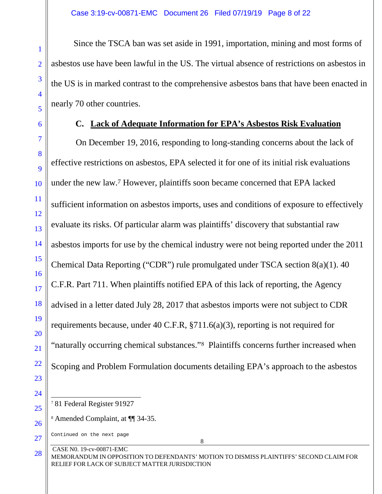Since the TSCA ban was set aside in 1991, importation, mining and most forms of asbestos use have been lawful in the US. The virtual absence of restrictions on asbestos in the US is in marked contrast to the comprehensive asbestos bans that have been enacted in nearly 70 other countries.

#### **C. Lack of Adequate Information for EPA's Asbestos Risk Evaluation**

On December 19, 2016, responding to long-standing concerns about the lack of effective restrictions on asbestos, EPA selected it for one of its initial risk evaluations under the new law.<sup>7</sup> However, plaintiffs soon became concerned that EPA lacked sufficient information on asbestos imports, uses and conditions of exposure to effectively evaluate its risks. Of particular alarm was plaintiffs' discovery that substantial raw asbestos imports for use by the chemical industry were not being reported under the 2011 Chemical Data Reporting ("CDR") rule promulgated under TSCA section 8(a)(1). 40 C.F.R. Part 711. When plaintiffs notified EPA of this lack of reporting, the Agency advised in a letter dated July 28, 2017 that asbestos imports were not subject to CDR requirements because, under 40 C.F.R, §711.6(a)(3), reporting is not required for "naturally occurring chemical substances."<sup>8</sup> Plaintiffs concerns further increased when Scoping and Problem Formulation documents detailing EPA's approach to the asbestos

CASE N0. 19-cv-00871-EMC

<sup>-</sup><sup>7</sup> 81 Federal Register 91927

<sup>8</sup> Amended Complaint, at ¶¶ 34-35.

Continued on the next page

MEMORANDUM IN OPPOSITION TO DEFENDANTS' MOTION TO DISMISS PLAINTIFFS' SECOND CLAIM FOR RELIEF FOR LACK OF SUBJECT MATTER JURISDICTION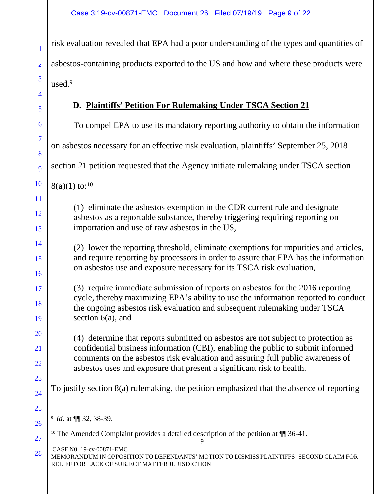risk evaluation revealed that EPA had a poor understanding of the types and quantities of asbestos-containing products exported to the US and how and where these products were used.<sup>9</sup>

# **D. Plaintiffs' Petition For Rulemaking Under TSCA Section 21**

| 6                         | To compel EPA to use its mandatory reporting authority to obtain the information                                                                                                                                                                                                                                                |
|---------------------------|---------------------------------------------------------------------------------------------------------------------------------------------------------------------------------------------------------------------------------------------------------------------------------------------------------------------------------|
| 7<br>8                    | on asbestos necessary for an effective risk evaluation, plaintiffs' September 25, 2018                                                                                                                                                                                                                                          |
| 9                         | section 21 petition requested that the Agency initiate rulemaking under TSCA section                                                                                                                                                                                                                                            |
| 10                        | $8(a)(1)$ to: <sup>10</sup>                                                                                                                                                                                                                                                                                                     |
| 11<br><sup>12</sup><br>13 | (1) eliminate the asbestos exemption in the CDR current rule and designate<br>asbestos as a reportable substance, thereby triggering requiring reporting on<br>importation and use of raw asbestos in the US,                                                                                                                   |
| 14<br>15<br>16            | (2) lower the reporting threshold, eliminate exemptions for impurities and articles,<br>and require reporting by processors in order to assure that EPA has the information<br>on asbestos use and exposure necessary for its TSCA risk evaluation,                                                                             |
| 17<br>18<br>19            | (3) require immediate submission of reports on asbestos for the 2016 reporting<br>cycle, thereby maximizing EPA's ability to use the information reported to conduct<br>the ongoing asbestos risk evaluation and subsequent rulemaking under TSCA<br>section $6(a)$ , and                                                       |
| 20<br>21<br><u>22</u>     | (4) determine that reports submitted on asbestos are not subject to protection as<br>confidential business information (CBI), enabling the public to submit informed<br>comments on the asbestos risk evaluation and assuring full public awareness of<br>asbestos uses and exposure that present a significant risk to health. |
| 23<br>24                  | To justify section 8(a) rulemaking, the petition emphasized that the absence of reporting                                                                                                                                                                                                                                       |
| 25<br>26<br><b>27</b>     | <sup>9</sup> Id. at ¶ 32, 38-39.<br><sup>10</sup> The Amended Complaint provides a detailed description of the petition at $\P$ 36-41.<br>9                                                                                                                                                                                     |
| 28                        | CASE N0. 19-cv-00871-EMC<br>MEMORANDUM IN OPPOSITION TO DEFENDANTS' MOTION TO DISMISS PLAINTIFFS' SECOND CLAIM FOR<br>RELIEF FOR LACK OF SUBJECT MATTER JURISDICTION                                                                                                                                                            |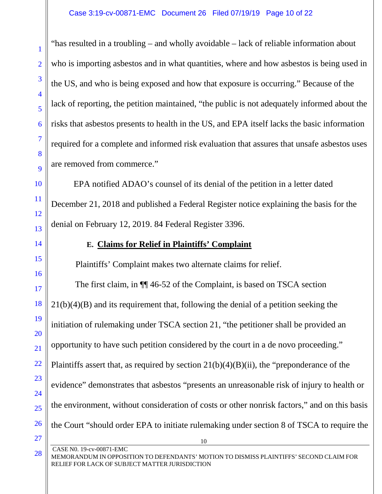"has resulted in a troubling – and wholly avoidable – lack of reliable information about who is importing asbestos and in what quantities, where and how asbestos is being used in the US, and who is being exposed and how that exposure is occurring." Because of the lack of reporting, the petition maintained, "the public is not adequately informed about the risks that asbestos presents to health in the US, and EPA itself lacks the basic information required for a complete and informed risk evaluation that assures that unsafe asbestos uses are removed from commerce."

EPA notified ADAO's counsel of its denial of the petition in a letter dated December 21, 2018 and published a Federal Register notice explaining the basis for the denial on February 12, 2019. 84 Federal Register 3396.

## **E. Claims for Relief in Plaintiffs' Complaint**

Plaintiffs' Complaint makes two alternate claims for relief.

10 The first claim, in ¶¶ 46-52 of the Complaint, is based on TSCA section 21(b)(4)(B) and its requirement that, following the denial of a petition seeking the initiation of rulemaking under TSCA section 21, "the petitioner shall be provided an opportunity to have such petition considered by the court in a de novo proceeding." Plaintiffs assert that, as required by section  $21(b)(4)(B)(ii)$ , the "preponderance of the evidence" demonstrates that asbestos "presents an unreasonable risk of injury to health or the environment, without consideration of costs or other nonrisk factors," and on this basis the Court "should order EPA to initiate rulemaking under section 8 of TSCA to require the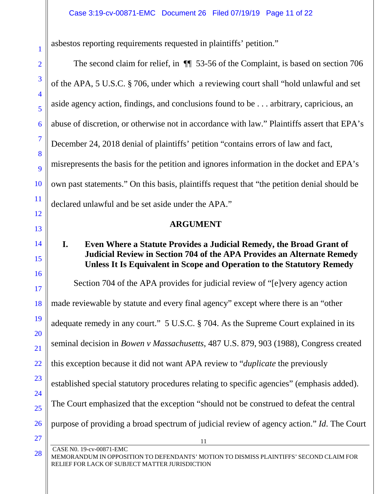asbestos reporting requirements requested in plaintiffs' petition."

The second claim for relief, in ¶¶ 53-56 of the Complaint, is based on section 706 of the APA, 5 U.S.C. § 706, under which a reviewing court shall "hold unlawful and set aside agency action, findings, and conclusions found to be . . . arbitrary, capricious, an abuse of discretion, or otherwise not in accordance with law." Plaintiffs assert that EPA's December 24, 2018 denial of plaintiffs' petition "contains errors of law and fact, misrepresents the basis for the petition and ignores information in the docket and EPA's own past statements." On this basis, plaintiffs request that "the petition denial should be declared unlawful and be set aside under the APA."

### **ARGUMENT**

#### **I. Even Where a Statute Provides a Judicial Remedy, the Broad Grant of Judicial Review in Section 704 of the APA Provides an Alternate Remedy Unless It Is Equivalent in Scope and Operation to the Statutory Remedy**

11 CASE N0. 19-cv-00871-EMC Section 704 of the APA provides for judicial review of "[e]very agency action made reviewable by statute and every final agency" except where there is an "other adequate remedy in any court." 5 U.S.C. § 704. As the Supreme Court explained in its seminal decision in *Bowen v Massachusetts*, 487 U.S. 879, 903 (1988), Congress created this exception because it did not want APA review to "*duplicate* the previously established special statutory procedures relating to specific agencies" (emphasis added). The Court emphasized that the exception "should not be construed to defeat the central purpose of providing a broad spectrum of judicial review of agency action." *Id*. The Court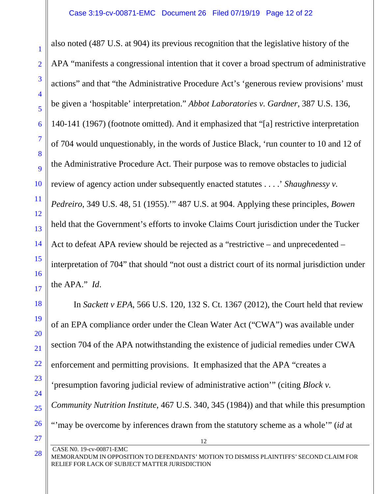also noted (487 U.S. at 904) its previous recognition that the legislative history of the APA "manifests a congressional intention that it cover a broad spectrum of administrative actions" and that "the Administrative Procedure Act's 'generous review provisions' must be given a 'hospitable' interpretation." *Abbot Laboratories v. Gardner*, 387 U.S. 136, 140-141 (1967) (footnote omitted). And it emphasized that "[a] restrictive interpretation of 704 would unquestionably, in the words of Justice Black, 'run counter to 10 and 12 of the Administrative Procedure Act. Their purpose was to remove obstacles to judicial review of agency action under subsequently enacted statutes . . . .' *Shaughnessy v. Pedreiro*, 349 U.S. 48, 51 (1955).'" 487 U.S. at 904. Applying these principles, *Bowen* held that the Government's efforts to invoke Claims Court jurisdiction under the Tucker Act to defeat APA review should be rejected as a "restrictive – and unprecedented – interpretation of 704" that should "not oust a district court of its normal jurisdiction under the APA." *Id*.

12 In *Sackett v EPA*, 566 U.S. 120, 132 S. Ct. 1367 (2012), the Court held that review of an EPA compliance order under the Clean Water Act ("CWA") was available under section 704 of the APA notwithstanding the existence of judicial remedies under CWA enforcement and permitting provisions. It emphasized that the APA "creates a 'presumption favoring judicial review of administrative action'" (citing *Block v. Community Nutrition Institute*, 467 U.S. 340, 345 (1984)) and that while this presumption "'may be overcome by inferences drawn from the statutory scheme as a whole'" (*id* at

28

1

2

3

4

5

6

7

8

 $\overline{Q}$ 

10

11

12

13

14

15

16

17

18

19

20

21

22

CASE N0. 19-cv-00871-EMC

MEMORANDUM IN OPPOSITION TO DEFENDANTS' MOTION TO DISMISS PLAINTIFFS' SECOND CLAIM FOR RELIEF FOR LACK OF SUBJECT MATTER JURISDICTION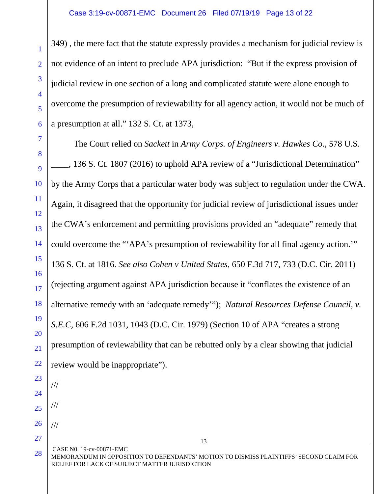349) , the mere fact that the statute expressly provides a mechanism for judicial review is not evidence of an intent to preclude APA jurisdiction: "But if the express provision of judicial review in one section of a long and complicated statute were alone enough to overcome the presumption of reviewability for all agency action, it would not be much of a presumption at all." 132 S. Ct. at 1373,

The Court relied on *Sackett* in *Army Corps. of Engineers v. Hawkes Co*., 578 U.S. \_\_\_\_, 136 S. Ct. 1807 (2016) to uphold APA review of a "Jurisdictional Determination" by the Army Corps that a particular water body was subject to regulation under the CWA. Again, it disagreed that the opportunity for judicial review of jurisdictional issues under the CWA's enforcement and permitting provisions provided an "adequate" remedy that could overcome the "'APA's presumption of reviewability for all final agency action.'" 136 S. Ct. at 1816. *See also Cohen v United States*, 650 F.3d 717, 733 (D.C. Cir. 2011) (rejecting argument against APA jurisdiction because it "conflates the existence of an alternative remedy with an 'adequate remedy'"); *Natural Resources Defense Council, v. S.E.C*, 606 F.2d 1031, 1043 (D.C. Cir. 1979) (Section 10 of APA "creates a strong presumption of reviewability that can be rebutted only by a clear showing that judicial review would be inappropriate").

25 26 ///

///

///

27

28

CASE N0. 19-cv-00871-EMC MEMORANDUM IN OPPOSITION TO DEFENDANTS' MOTION TO DISMISS PLAINTIFFS' SECOND CLAIM FOR RELIEF FOR LACK OF SUBJECT MATTER JURISDICTION

13

1

2

3

4

5

6

7

8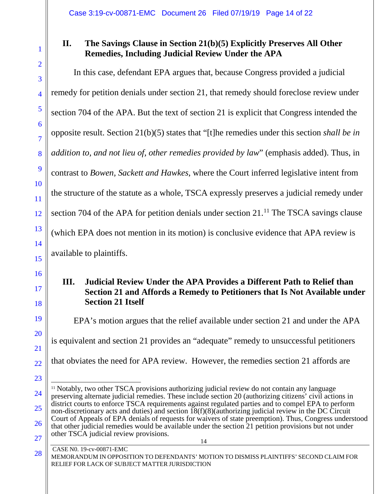#### **II. The Savings Clause in Section 21(b)(5) Explicitly Preserves All Other Remedies, Including Judicial Review Under the APA**

In this case, defendant EPA argues that, because Congress provided a judicial remedy for petition denials under section 21, that remedy should foreclose review under section 704 of the APA. But the text of section 21 is explicit that Congress intended the opposite result. Section 21(b)(5) states that "[t]he remedies under this section *shall be in addition to, and not lieu of, other remedies provided by law*" (emphasis added). Thus, in contrast to *Bowen, Sackett and Hawkes*, where the Court inferred legislative intent from the structure of the statute as a whole, TSCA expressly preserves a judicial remedy under section 704 of the APA for petition denials under section 21.<sup>11</sup> The TSCA savings clause (which EPA does not mention in its motion) is conclusive evidence that APA review is available to plaintiffs.

#### **III. Judicial Review Under the APA Provides a Different Path to Relief than Section 21 and Affords a Remedy to Petitioners that Is Not Available under Section 21 Itself**

EPA's motion argues that the relief available under section 21 and under the APA is equivalent and section 21 provides an "adequate" remedy to unsuccessful petitioners that obviates the need for APA review. However, the remedies section 21 affords are

#### CASE N0. 19-cv-00871-EMC

MEMORANDUM IN OPPOSITION TO DEFENDANTS' MOTION TO DISMISS PLAINTIFFS' SECOND CLAIM FOR RELIEF FOR LACK OF SUBJECT MATTER JURISDICTION

<sup>14</sup> -<sup>11</sup> Notably, two other TSCA provisions authorizing judicial review do not contain any language preserving alternate judicial remedies. These include section 20 (authorizing citizens' civil actions in district courts to enforce TSCA requirements against regulated parties and to compel EPA to perform non-discretionary acts and duties) and section 18(f)(8)(authorizing judicial review in the DC Circuit Court of Appeals of EPA denials of requests for waivers of state preemption). Thus, Congress understood that other judicial remedies would be available under the section 21 petition provisions but not under other TSCA judicial review provisions.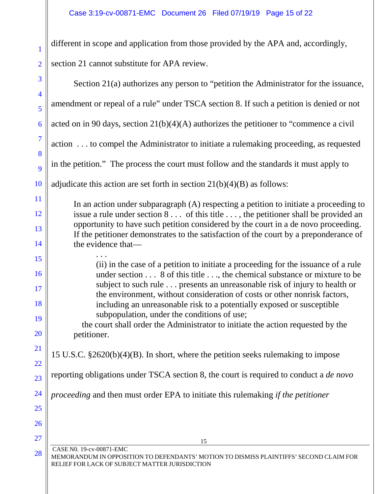1

2

different in scope and application from those provided by the APA and, accordingly, section 21 cannot substitute for APA review.

| $\overline{3}$                               | Section 21(a) authorizes any person to "petition the Administrator for the issuance,                                                                                                                                                                                                                                                                                                                                                                                                                                                                                                                                                   |
|----------------------------------------------|----------------------------------------------------------------------------------------------------------------------------------------------------------------------------------------------------------------------------------------------------------------------------------------------------------------------------------------------------------------------------------------------------------------------------------------------------------------------------------------------------------------------------------------------------------------------------------------------------------------------------------------|
| $\overline{4}$                               | amendment or repeal of a rule" under TSCA section 8. If such a petition is denied or not                                                                                                                                                                                                                                                                                                                                                                                                                                                                                                                                               |
| 5                                            |                                                                                                                                                                                                                                                                                                                                                                                                                                                                                                                                                                                                                                        |
| 6                                            | acted on in 90 days, section $21(b)(4)(A)$ authorizes the petitioner to "commence a civil                                                                                                                                                                                                                                                                                                                                                                                                                                                                                                                                              |
| $\overline{7}$<br>8                          | action  to compel the Administrator to initiate a rulemaking proceeding, as requested                                                                                                                                                                                                                                                                                                                                                                                                                                                                                                                                                  |
| 9                                            | in the petition." The process the court must follow and the standards it must apply to                                                                                                                                                                                                                                                                                                                                                                                                                                                                                                                                                 |
| 10                                           | adjudicate this action are set forth in section $21(b)(4)(B)$ as follows:                                                                                                                                                                                                                                                                                                                                                                                                                                                                                                                                                              |
| 11<br>12                                     | In an action under subparagraph (A) respecting a petition to initiate a proceeding to<br>issue a rule under section 8 of this title , the petitioner shall be provided an<br>opportunity to have such petition considered by the court in a de novo proceeding.                                                                                                                                                                                                                                                                                                                                                                        |
| 13<br>14                                     | If the petitioner demonstrates to the satisfaction of the court by a preponderance of<br>the evidence that-                                                                                                                                                                                                                                                                                                                                                                                                                                                                                                                            |
| 15<br>16<br>17<br>18<br>19<br>20<br>21<br>22 | (ii) in the case of a petition to initiate a proceeding for the issuance of a rule<br>under section 8 of this title, the chemical substance or mixture to be<br>subject to such rule presents an unreasonable risk of injury to health or<br>the environment, without consideration of costs or other nonrisk factors,<br>including an unreasonable risk to a potentially exposed or susceptible<br>subpopulation, under the conditions of use;<br>the court shall order the Administrator to initiate the action requested by the<br>petitioner.<br>15 U.S.C. §2620(b)(4)(B). In short, where the petition seeks rulemaking to impose |
| 23                                           | reporting obligations under TSCA section 8, the court is required to conduct a <i>de novo</i>                                                                                                                                                                                                                                                                                                                                                                                                                                                                                                                                          |
| 24                                           | proceeding and then must order EPA to initiate this rulemaking if the petitioner                                                                                                                                                                                                                                                                                                                                                                                                                                                                                                                                                       |
| 25                                           |                                                                                                                                                                                                                                                                                                                                                                                                                                                                                                                                                                                                                                        |
| 26                                           |                                                                                                                                                                                                                                                                                                                                                                                                                                                                                                                                                                                                                                        |
| 27                                           | 15                                                                                                                                                                                                                                                                                                                                                                                                                                                                                                                                                                                                                                     |
| 28                                           | CASE N0. 19-cv-00871-EMC<br>MEMORANDUM IN OPPOSITION TO DEFENDANTS' MOTION TO DISMISS PLAINTIFFS' SECOND CLAIM FOR<br>RELIEF FOR LACK OF SUBJECT MATTER JURISDICTION                                                                                                                                                                                                                                                                                                                                                                                                                                                                   |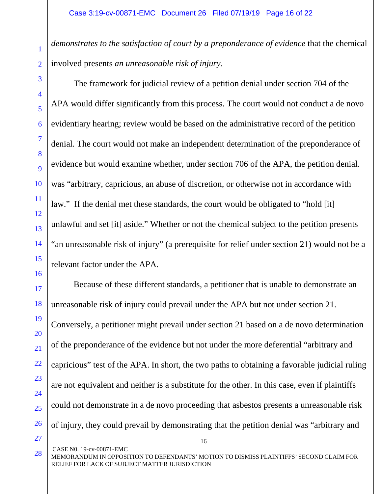*demonstrates to the satisfaction of court by a preponderance of evidence* that the chemical involved presents *an unreasonable risk of injury*.

The framework for judicial review of a petition denial under section 704 of the APA would differ significantly from this process. The court would not conduct a de novo evidentiary hearing; review would be based on the administrative record of the petition denial. The court would not make an independent determination of the preponderance of evidence but would examine whether, under section 706 of the APA, the petition denial. was "arbitrary, capricious, an abuse of discretion, or otherwise not in accordance with law." If the denial met these standards, the court would be obligated to "hold [it] unlawful and set [it] aside." Whether or not the chemical subject to the petition presents "an unreasonable risk of injury" (a prerequisite for relief under section 21) would not be a relevant factor under the APA.

Because of these different standards, a petitioner that is unable to demonstrate an unreasonable risk of injury could prevail under the APA but not under section 21. Conversely, a petitioner might prevail under section 21 based on a de novo determination of the preponderance of the evidence but not under the more deferential "arbitrary and capricious" test of the APA. In short, the two paths to obtaining a favorable judicial ruling are not equivalent and neither is a substitute for the other. In this case, even if plaintiffs could not demonstrate in a de novo proceeding that asbestos presents a unreasonable risk of injury, they could prevail by demonstrating that the petition denial was "arbitrary and

CASE N0. 19-cv-00871-EMC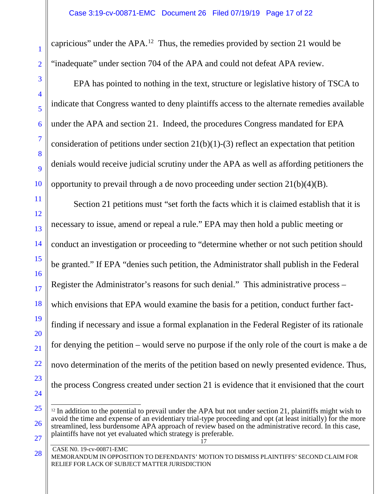capricious" under the APA.12 Thus, the remedies provided by section 21 would be "inadequate" under section 704 of the APA and could not defeat APA review.

EPA has pointed to nothing in the text, structure or legislative history of TSCA to indicate that Congress wanted to deny plaintiffs access to the alternate remedies available under the APA and section 21. Indeed, the procedures Congress mandated for EPA consideration of petitions under section 21(b)(1)-(3) reflect an expectation that petition denials would receive judicial scrutiny under the APA as well as affording petitioners the opportunity to prevail through a de novo proceeding under section 21(b)(4)(B).

Section 21 petitions must "set forth the facts which it is claimed establish that it is necessary to issue, amend or repeal a rule." EPA may then hold a public meeting or conduct an investigation or proceeding to "determine whether or not such petition should be granted." If EPA "denies such petition, the Administrator shall publish in the Federal Register the Administrator's reasons for such denial." This administrative process – which envisions that EPA would examine the basis for a petition, conduct further factfinding if necessary and issue a formal explanation in the Federal Register of its rationale for denying the petition – would serve no purpose if the only role of the court is make a de novo determination of the merits of the petition based on newly presented evidence. Thus, the process Congress created under section 21 is evidence that it envisioned that the court

<sup>17</sup> -<sup>12</sup> In addition to the potential to prevail under the APA but not under section 21, plaintiffs might wish to avoid the time and expense of an evidentiary trial-type proceeding and opt (at least initially) for the more streamlined, less burdensome APA approach of review based on the administrative record. In this case, plaintiffs have not yet evaluated which strategy is preferable.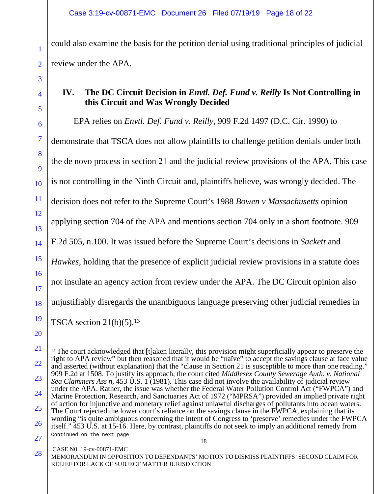could also examine the basis for the petition denial using traditional principles of judicial review under the APA.

#### **IV. The DC Circuit Decision in** *Envtl. Def. Fund v. Reilly* **Is Not Controlling in this Circuit and Was Wrongly Decided**

EPA relies on *Envtl. Def. Fund v. Reilly*, 909 F.2d 1497 (D.C. Cir. 1990) to demonstrate that TSCA does not allow plaintiffs to challenge petition denials under both the de novo process in section 21 and the judicial review provisions of the APA. This case is not controlling in the Ninth Circuit and, plaintiffs believe, was wrongly decided. The decision does not refer to the Supreme Court's 1988 *Bowen v Massachusetts* opinion applying section 704 of the APA and mentions section 704 only in a short footnote. 909 F.2d 505, n.100. It was issued before the Supreme Court's decisions in *Sackett* and *Hawkes,* holding that the presence of explicit judicial review provisions in a statute does not insulate an agency action from review under the APA. The DC Circuit opinion also unjustifiably disregards the unambiguous language preserving other judicial remedies in TSCA section  $21(b)(5)$ .<sup>13</sup>

1

2

3

4

5

6

7

8

9

10

11

12

13

14

<sup>16</sup> 17 18 19 20 21 22 23

<sup>18</sup> CASE N0. 19-cv-00871-EMC 24 25 26 27 -<sup>13</sup> The court acknowledged that [t]aken literally, this provision might superficially appear to preserve the right to APA review" but then reasoned that it would be "naïve" to accept the savings clause at face value and asserted (without explanation) that the "clause in Section 21 is susceptible to more than one reading." 909 F.2d at 1508. To justify its approach, the court cited *Middlesex County Sewerage Auth. v. National Sea Clammers Ass'n,* 453 U.S. 1 (1981). This case did not involve the availability of judicial review under the APA. Rather, the issue was whether the Federal Water Pollution Control Act ("FWPCA") and Marine Protection, Research, and Sanctuaries Act of 1972 ("MPRSA") provided an implied private right of action for injunctive and monetary relief against unlawful discharges of pollutants into ocean waters. The Court rejected the lower court's reliance on the savings clause in the FWPCA, explaining that its wording "is quite ambiguous concerning the intent of Congress to 'preserve' remedies under the FWPCA itself." 453 U.S. at 15-16. Here, by contrast, plaintiffs do not seek to imply an additional remedy from Continued on the next page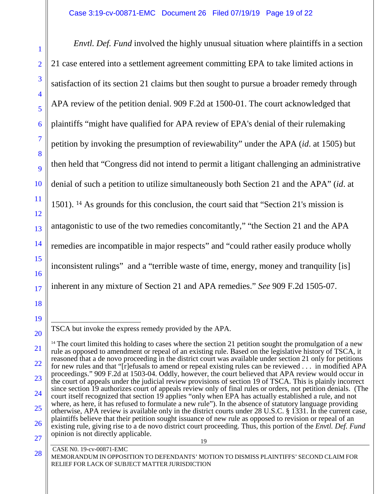*Envtl. Def. Fund* involved the highly unusual situation where plaintiffs in a section 21 case entered into a settlement agreement committing EPA to take limited actions in satisfaction of its section 21 claims but then sought to pursue a broader remedy through APA review of the petition denial. 909 F.2d at 1500-01. The court acknowledged that plaintiffs "might have qualified for APA review of EPA's denial of their rulemaking petition by invoking the presumption of reviewability" under the APA (*id*. at 1505) but then held that "Congress did not intend to permit a litigant challenging an administrative denial of such a petition to utilize simultaneously both Section 21 and the APA" (*id*. at 1501). <sup>14</sup> As grounds for this conclusion, the court said that "Section 21's mission is antagonistic to use of the two remedies concomitantly," "the Section 21 and the APA remedies are incompatible in major respects" and "could rather easily produce wholly inconsistent rulings" and a "terrible waste of time, energy, money and tranquility [is] inherent in any mixture of Section 21 and APA remedies." *See* 909 F.2d 1505-07.

### CASE N0. 19-cv-00871-EMC

28

1

2

3

<sup>-</sup>TSCA but invoke the express remedy provided by the APA.

<sup>19</sup> 22 23 24 25 26 27 <sup>14</sup> The court limited this holding to cases where the section 21 petition sought the promulgation of a new rule as opposed to amendment or repeal of an existing rule. Based on the legislative history of TSCA, it reasoned that a de novo proceeding in the district court was available under section 21 only for petitions for new rules and that "[r]efusals to amend or repeal existing rules can be reviewed . . . in modified APA proceedings." 909 F.2d at 1503-04. Oddly, however, the court believed that APA review would occur in the court of appeals under the judicial review provisions of section 19 of TSCA. This is plainly incorrect since section 19 authorizes court of appeals review only of final rules or orders, not petition denials. (The court itself recognized that section 19 applies "only when EPA has actually established a rule, and not where, as here, it has refused to formulate a new rule"). In the absence of statutory language providing otherwise, APA review is available only in the district courts under 28 U.S.C. § 1331. In the current case, plaintiffs believe that their petition sought issuance of new rule as opposed to revision or repeal of an existing rule, giving rise to a de novo district court proceeding. Thus, this portion of the *Envtl. Def. Fund* opinion is not directly applicable.

MEMORANDUM IN OPPOSITION TO DEFENDANTS' MOTION TO DISMISS PLAINTIFFS' SECOND CLAIM FOR RELIEF FOR LACK OF SUBJECT MATTER JURISDICTION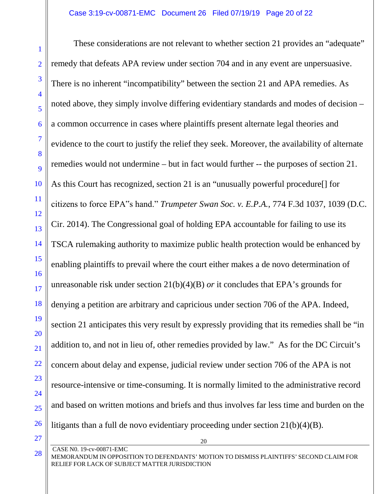These considerations are not relevant to whether section 21 provides an "adequate" remedy that defeats APA review under section 704 and in any event are unpersuasive. There is no inherent "incompatibility" between the section 21 and APA remedies. As noted above, they simply involve differing evidentiary standards and modes of decision – a common occurrence in cases where plaintiffs present alternate legal theories and evidence to the court to justify the relief they seek. Moreover, the availability of alternate remedies would not undermine – but in fact would further -- the purposes of section 21. As this Court has recognized, section 21 is an "unusually powerful procedure[] for citizens to force EPA"s hand." *Trumpeter Swan Soc. v. E.P.A.*, 774 F.3d 1037, 1039 (D.C. Cir. 2014). The Congressional goal of holding EPA accountable for failing to use its TSCA rulemaking authority to maximize public health protection would be enhanced by enabling plaintiffs to prevail where the court either makes a de novo determination of unreasonable risk under section 21(b)(4)(B) *or* it concludes that EPA's grounds for denying a petition are arbitrary and capricious under section 706 of the APA. Indeed, section 21 anticipates this very result by expressly providing that its remedies shall be "in addition to, and not in lieu of, other remedies provided by law." As for the DC Circuit's concern about delay and expense, judicial review under section 706 of the APA is not resource-intensive or time-consuming. It is normally limited to the administrative record and based on written motions and briefs and thus involves far less time and burden on the litigants than a full de novo evidentiary proceeding under section 21(b)(4)(B).

28

1

2

3

4

5

6

7

8

 $\overline{Q}$ 

10

11

12

13

14

15

16

17

18

19

20

21

22

23

24

25

26

CASE N0. 19-cv-00871-EMC

<sup>27</sup>

MEMORANDUM IN OPPOSITION TO DEFENDANTS' MOTION TO DISMISS PLAINTIFFS' SECOND CLAIM FOR RELIEF FOR LACK OF SUBJECT MATTER JURISDICTION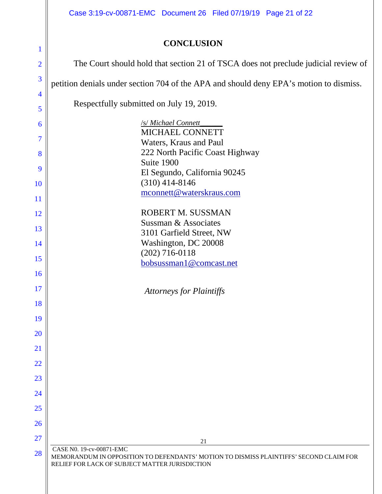Case 3:19-cv-00871-EMC Document 26 Filed 07/19/19 Page 21 of 22

# **CONCLUSION**

| 1                     | CONCLUSION                                                                                                                                                           |
|-----------------------|----------------------------------------------------------------------------------------------------------------------------------------------------------------------|
| $\overline{2}$        | The Court should hold that section 21 of TSCA does not preclude judicial review of                                                                                   |
| 3                     | petition denials under section 704 of the APA and should deny EPA's motion to dismiss.                                                                               |
| $\overline{4}$<br>5   | Respectfully submitted on July 19, 2019.                                                                                                                             |
| 6<br>7                | /s/ Michael Connett<br>MICHAEL CONNETT<br>Waters, Kraus and Paul                                                                                                     |
| 8<br>9                | 222 North Pacific Coast Highway<br>Suite 1900<br>El Segundo, California 90245                                                                                        |
| 10<br>11              | $(310)$ 414-8146<br>mconnett@waterskraus.com                                                                                                                         |
| 12<br>13              | ROBERT M. SUSSMAN<br>Sussman & Associates                                                                                                                            |
| 14                    | 3101 Garfield Street, NW<br>Washington, DC 20008<br>$(202)$ 716-0118                                                                                                 |
| 15<br>16              | bobsussman1@comcast.net                                                                                                                                              |
| 17<br>18              | <b>Attorneys for Plaintiffs</b>                                                                                                                                      |
| 19                    |                                                                                                                                                                      |
| 20<br>21              |                                                                                                                                                                      |
| 22                    |                                                                                                                                                                      |
| 23<br>24              |                                                                                                                                                                      |
| 25                    |                                                                                                                                                                      |
| 26<br>$\overline{27}$ | 21                                                                                                                                                                   |
| 28                    | CASE N0. 19-cv-00871-EMC<br>MEMORANDUM IN OPPOSITION TO DEFENDANTS' MOTION TO DISMISS PLAINTIFFS' SECOND CLAIM FOR<br>RELIEF FOR LACK OF SUBJECT MATTER JURISDICTION |